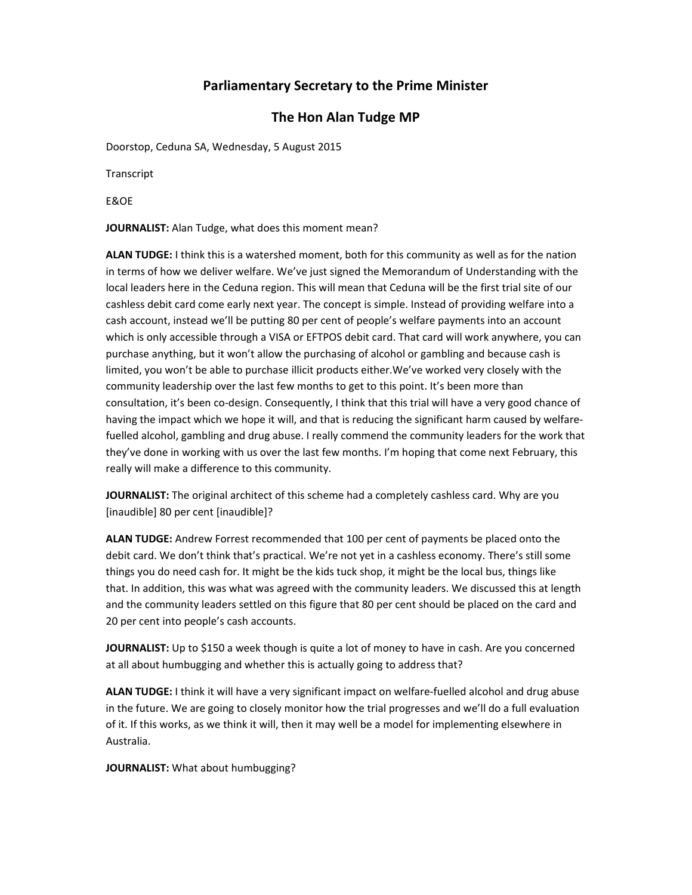## **Parliamentary Secretary to the Prime Minister**

## **The Hon Alan Tudge MP**

Doorstop, Ceduna SA, Wednesday, 5 August 2015

Transcript

E&OE

**JOURNALIST:** Alan Tudge, what does this moment mean?

**ALAN TUDGE:** I think this is a watershed moment, both for this community as well as for the nation in terms of how we deliver welfare. We've just signed the Memorandum of Understanding with the local leaders here in the Ceduna region. This will mean that Ceduna will be the first trial site of our cashless debit card come early next year. The concept is simple. Instead of providing welfare into a cash account, instead we'll be putting 80 per cent of people's welfare payments into an account which is only accessible through a VISA or EFTPOS debit card. That card will work anywhere, you can purchase anything, but it won't allow the purchasing of alcohol or gambling and because cash is limited, you won't be able to purchase illicit products either.We've worked very closely with the community leadership over the last few months to get to this point. It's been more than consultation, it's been co-design. Consequently, I think that this trial will have a very good chance of having the impact which we hope it will, and that is reducing the significant harm caused by welfare‐ fuelled alcohol, gambling and drug abuse. I really commend the community leaders for the work that they've done in working with us over the last few months. I'm hoping that come next February, this really will make a difference to this community.

**JOURNALIST:** The original architect of this scheme had a completely cashless card. Why are you [inaudible] 80 per cent [inaudible]?

**ALAN TUDGE:** Andrew Forrest recommended that 100 per cent of payments be placed onto the debit card. We don't think that's practical. We're not yet in a cashless economy. There's still some things you do need cash for. It might be the kids tuck shop, it might be the local bus, things like that. In addition, this was what was agreed with the community leaders. We discussed this at length and the community leaders settled on this figure that 80 per cent should be placed on the card and 20 per cent into people's cash accounts.

**JOURNALIST:** Up to \$150 a week though is quite a lot of money to have in cash. Are you concerned at all about humbugging and whether this is actually going to address that?

**ALAN TUDGE:** I think it will have a very significant impact on welfare‐fuelled alcohol and drug abuse in the future. We are going to closely monitor how the trial progresses and we'll do a full evaluation of it. If this works, as we think it will, then it may well be a model for implementing elsewhere in Australia.

**JOURNALIST:** What about humbugging?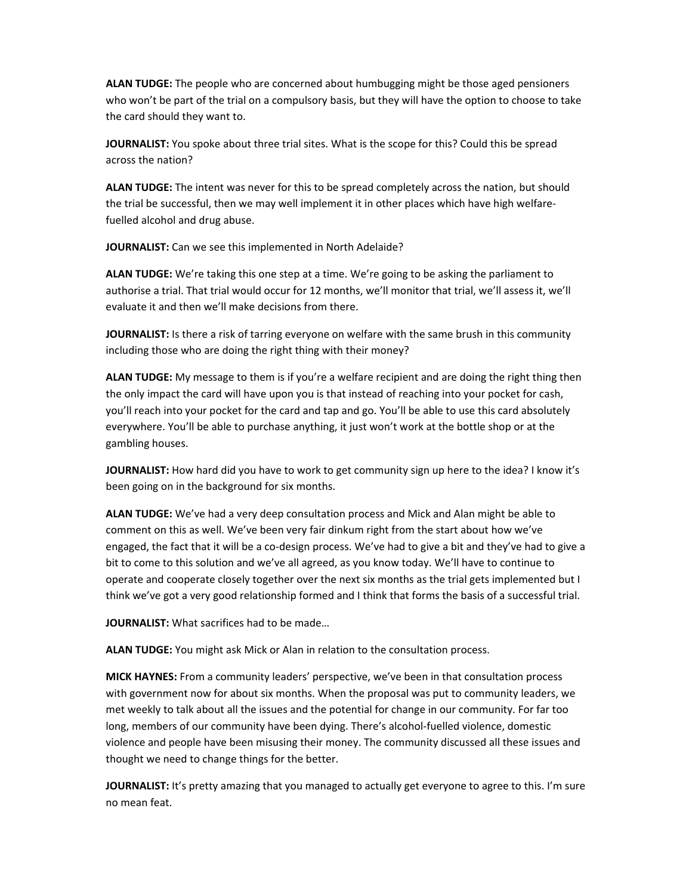**ALAN TUDGE:** The people who are concerned about humbugging might be those aged pensioners who won't be part of the trial on a compulsory basis, but they will have the option to choose to take the card should they want to.

**JOURNALIST:** You spoke about three trial sites. What is the scope for this? Could this be spread across the nation?

**ALAN TUDGE:** The intent was never for this to be spread completely across the nation, but should the trial be successful, then we may well implement it in other places which have high welfare‐ fuelled alcohol and drug abuse.

**JOURNALIST:** Can we see this implemented in North Adelaide?

**ALAN TUDGE:** We're taking this one step at a time. We're going to be asking the parliament to authorise a trial. That trial would occur for 12 months, we'll monitor that trial, we'll assess it, we'll evaluate it and then we'll make decisions from there.

**JOURNALIST:** Is there a risk of tarring everyone on welfare with the same brush in this community including those who are doing the right thing with their money?

**ALAN TUDGE:** My message to them is if you're a welfare recipient and are doing the right thing then the only impact the card will have upon you is that instead of reaching into your pocket for cash, you'll reach into your pocket for the card and tap and go. You'll be able to use this card absolutely everywhere. You'll be able to purchase anything, it just won't work at the bottle shop or at the gambling houses.

**JOURNALIST:** How hard did you have to work to get community sign up here to the idea? I know it's been going on in the background for six months.

**ALAN TUDGE:** We've had a very deep consultation process and Mick and Alan might be able to comment on this as well. We've been very fair dinkum right from the start about how we've engaged, the fact that it will be a co-design process. We've had to give a bit and they've had to give a bit to come to this solution and we've all agreed, as you know today. We'll have to continue to operate and cooperate closely together over the next six months as the trial gets implemented but I think we've got a very good relationship formed and I think that forms the basis of a successful trial.

**JOURNALIST:** What sacrifices had to be made…

**ALAN TUDGE:** You might ask Mick or Alan in relation to the consultation process.

**MICK HAYNES:** From a community leaders' perspective, we've been in that consultation process with government now for about six months. When the proposal was put to community leaders, we met weekly to talk about all the issues and the potential for change in our community. For far too long, members of our community have been dying. There's alcohol-fuelled violence, domestic violence and people have been misusing their money. The community discussed all these issues and thought we need to change things for the better.

**JOURNALIST:** It's pretty amazing that you managed to actually get everyone to agree to this. I'm sure no mean feat.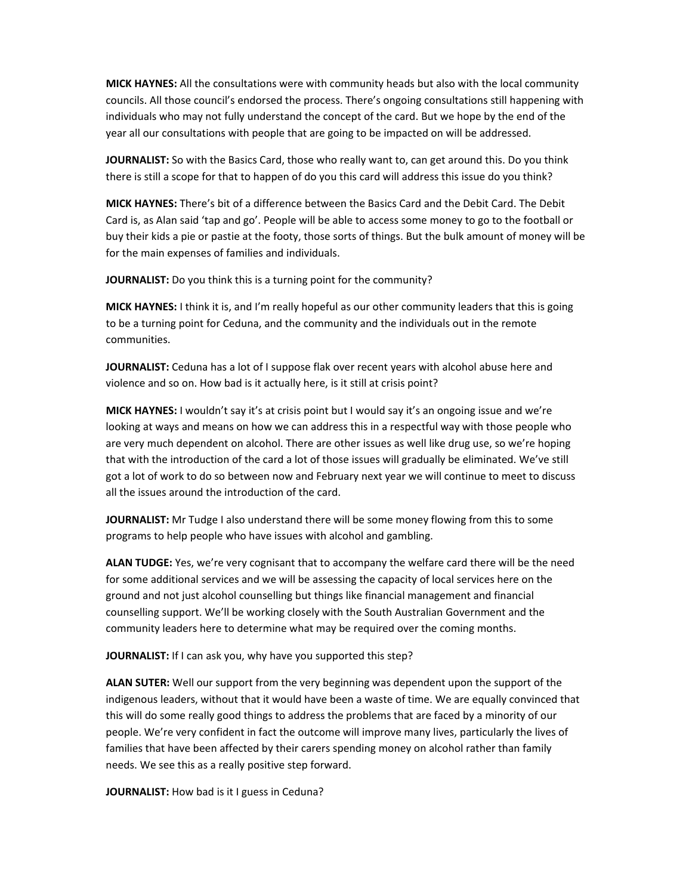**MICK HAYNES:** All the consultations were with community heads but also with the local community councils. All those council's endorsed the process. There's ongoing consultations still happening with individuals who may not fully understand the concept of the card. But we hope by the end of the year all our consultations with people that are going to be impacted on will be addressed.

**JOURNALIST:** So with the Basics Card, those who really want to, can get around this. Do you think there is still a scope for that to happen of do you this card will address this issue do you think?

**MICK HAYNES:** There's bit of a difference between the Basics Card and the Debit Card. The Debit Card is, as Alan said 'tap and go'. People will be able to access some money to go to the football or buy their kids a pie or pastie at the footy, those sorts of things. But the bulk amount of money will be for the main expenses of families and individuals.

**JOURNALIST:** Do you think this is a turning point for the community?

**MICK HAYNES:** I think it is, and I'm really hopeful as our other community leaders that this is going to be a turning point for Ceduna, and the community and the individuals out in the remote communities.

**JOURNALIST:** Ceduna has a lot of I suppose flak over recent years with alcohol abuse here and violence and so on. How bad is it actually here, is it still at crisis point?

**MICK HAYNES:** I wouldn't say it's at crisis point but I would say it's an ongoing issue and we're looking at ways and means on how we can address this in a respectful way with those people who are very much dependent on alcohol. There are other issues as well like drug use, so we're hoping that with the introduction of the card a lot of those issues will gradually be eliminated. We've still got a lot of work to do so between now and February next year we will continue to meet to discuss all the issues around the introduction of the card.

**JOURNALIST:** Mr Tudge I also understand there will be some money flowing from this to some programs to help people who have issues with alcohol and gambling.

**ALAN TUDGE:** Yes, we're very cognisant that to accompany the welfare card there will be the need for some additional services and we will be assessing the capacity of local services here on the ground and not just alcohol counselling but things like financial management and financial counselling support. We'll be working closely with the South Australian Government and the community leaders here to determine what may be required over the coming months.

**JOURNALIST:** If I can ask you, why have you supported this step?

**ALAN SUTER:** Well our support from the very beginning was dependent upon the support of the indigenous leaders, without that it would have been a waste of time. We are equally convinced that this will do some really good things to address the problems that are faced by a minority of our people. We're very confident in fact the outcome will improve many lives, particularly the lives of families that have been affected by their carers spending money on alcohol rather than family needs. We see this as a really positive step forward.

**JOURNALIST:** How bad is it I guess in Ceduna?